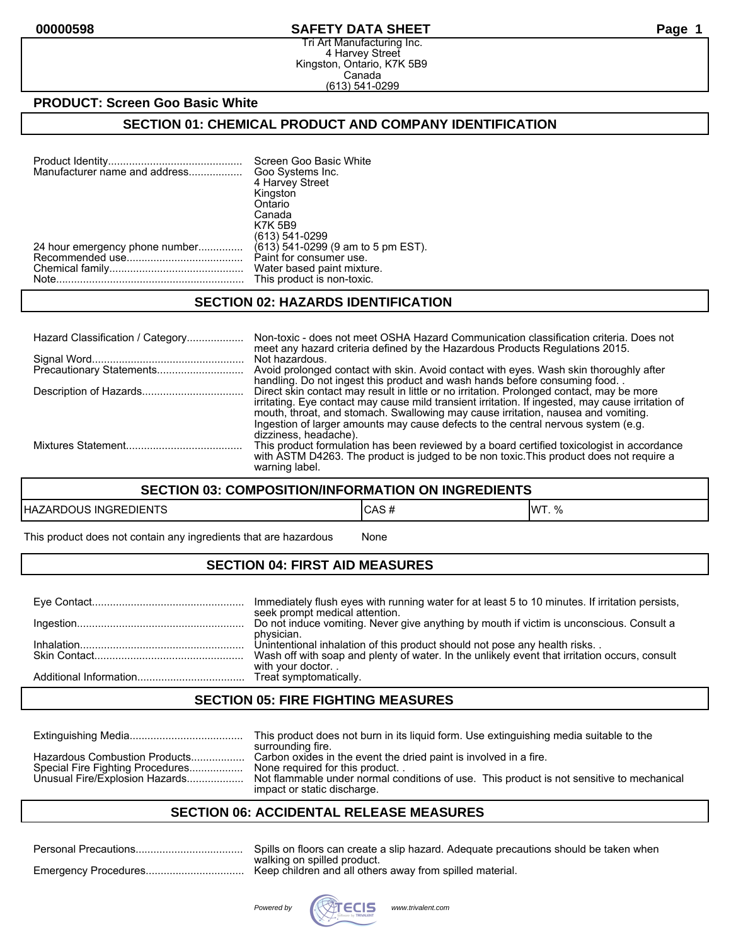#### **00000598 SAFETY DATA SHEET Page 1**

Tri Art Manufacturing Inc. 4 Harvey Street Kingston, Ontario, K7K 5B9 Canada (613) 541-0299

### **PRODUCT: Screen Goo Basic White**

### **SECTION 01: CHEMICAL PRODUCT AND COMPANY IDENTIFICATION**

| Manufacturer name and address  | Screen Goo Basic White<br>Goo Systems Inc. |
|--------------------------------|--------------------------------------------|
|                                | 4 Harvey Street                            |
|                                | Kingston                                   |
|                                | Ontario                                    |
|                                | Canada                                     |
|                                | <b>K7K 5B9</b>                             |
|                                | (613) 541-0299                             |
| 24 hour emergency phone number | (613) 541-0299 (9 am to 5 pm EST).         |
|                                | Paint for consumer use.                    |
|                                | Water based paint mixture.                 |
|                                | This product is non-toxic.                 |

### **SECTION 02: HAZARDS IDENTIFICATION**

| Hazard Classification / Category | Non-toxic - does not meet OSHA Hazard Communication classification criteria. Does not<br>meet any hazard criteria defined by the Hazardous Products Regulations 2015.                                                                                                                                                                                                    |
|----------------------------------|--------------------------------------------------------------------------------------------------------------------------------------------------------------------------------------------------------------------------------------------------------------------------------------------------------------------------------------------------------------------------|
|                                  | Not hazardous.<br>Avoid prolonged contact with skin. Avoid contact with eyes. Wash skin thoroughly after<br>handling. Do not ingest this product and wash hands before consuming food.                                                                                                                                                                                   |
|                                  | Direct skin contact may result in little or no irritation. Prolonged contact, may be more<br>irritating. Eye contact may cause mild transient irritation. If ingested, may cause irritation of<br>mouth, throat, and stomach. Swallowing may cause irritation, nausea and vomiting.<br>Ingestion of larger amounts may cause defects to the central nervous system (e.g. |
|                                  | dizziness, headache).<br>This product formulation has been reviewed by a board certified toxicologist in accordance<br>with ASTM D4263. The product is judged to be non toxic. This product does not require a<br>warning label.                                                                                                                                         |

#### **SECTION 03: COMPOSITION/INFORMATION ON INGREDIENTS**

| <b>EDIENTS</b><br>HAZAI<br>RDOUS<br><b>INGRE</b> | $\mathbf{r}$<br>∿רשי<br>$\boldsymbol{\pi}$ | $\Omega$<br><b>IMT</b><br>v, |
|--------------------------------------------------|--------------------------------------------|------------------------------|
|--------------------------------------------------|--------------------------------------------|------------------------------|

This product does not contain any ingredients that are hazardous Mone

### **SECTION 04: FIRST AID MEASURES**

| Immediately flush eyes with running water for at least 5 to 10 minutes. If irritation persists,<br>seek prompt medical attention. |
|-----------------------------------------------------------------------------------------------------------------------------------|
| Do not induce vomiting. Never give anything by mouth if victim is unconscious. Consult a                                          |
| physician.<br>Unintentional inhalation of this product should not pose any health risks                                           |
| Wash off with soap and plenty of water. In the unlikely event that irritation occurs, consult<br>with your doctor                 |
|                                                                                                                                   |

### **SECTION 05: FIRE FIGHTING MEASURES**

|                                                                                                     | This product does not burn in its liquid form. Use extinguishing media suitable to the<br>surrounding fire.                                                                                                                     |
|-----------------------------------------------------------------------------------------------------|---------------------------------------------------------------------------------------------------------------------------------------------------------------------------------------------------------------------------------|
| Hazardous Combustion Products<br>Special Fire Fighting Procedures<br>Unusual Fire/Explosion Hazards | Carbon oxides in the event the dried paint is involved in a fire.<br>None required for this product<br>Not flammable under normal conditions of use. This product is not sensitive to mechanical<br>impact or static discharge. |

### **SECTION 06: ACCIDENTAL RELEASE MEASURES**

| Spills on floors can create a slip hazard. Adequate precautions should be taken when |
|--------------------------------------------------------------------------------------|
| walking on spilled product.                                                          |

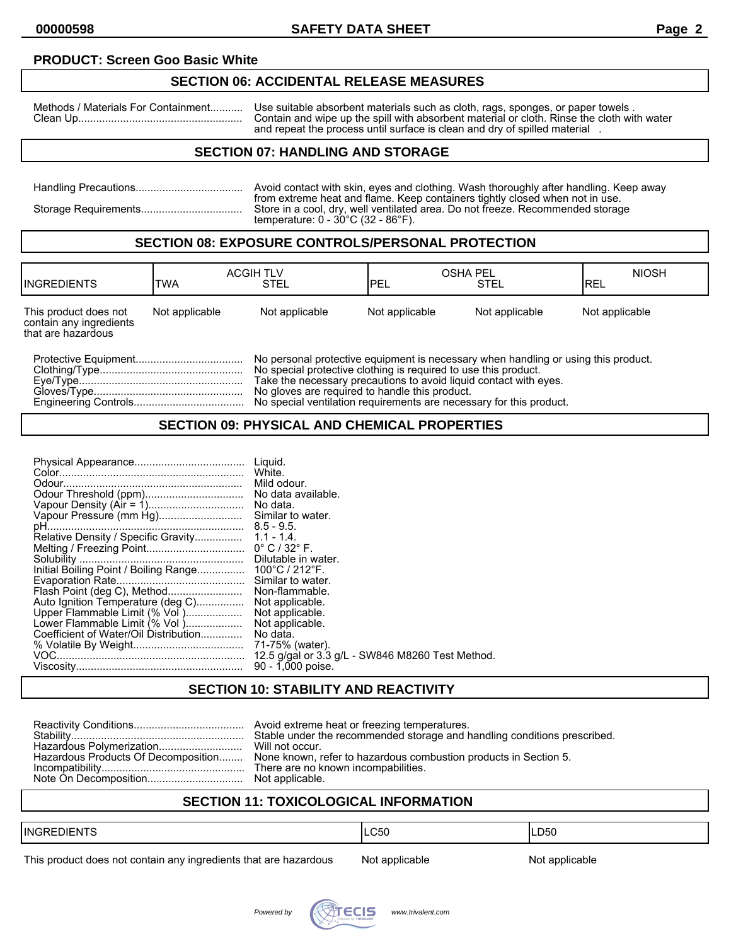### **PRODUCT: Screen Goo Basic White**

# **SECTION 06: ACCIDENTAL RELEASE MEASURES**

Methods / Materials For Containment........... Use suitable absorbent materials such as cloth, rags, sponges, or paper towels . Clean Up....................................................... Contain and wipe up the spill with absorbent material or cloth. Rinse the cloth with water and repeat the process until surface is clean and dry of spilled material .

### **SECTION 07: HANDLING AND STORAGE**

| Avoid contact with skin, eyes and clothing. Wash thoroughly after handling. Keep away                                                                                                                                     |
|---------------------------------------------------------------------------------------------------------------------------------------------------------------------------------------------------------------------------|
| from extreme heat and flame. Keep containers tightly closed when not in use.<br>Store in a cool, dry, well ventilated area. Do not freeze. Recommended storage<br>temperature: $0 - 30^{\circ}$ C (32 - 86 $^{\circ}$ F). |

### **SECTION 08: EXPOSURE CONTROLS/PERSONAL PROTECTION**

| <b>INGREDIENTS</b>                                                     | <b>TWA</b>     | <b>ACGIH TLV</b><br><b>STEL</b>                                                                                                                                                                                                                                              | IPEL           | <b>OSHA PEL</b><br><b>STEL</b> | <b>NIOSH</b><br>IREL |
|------------------------------------------------------------------------|----------------|------------------------------------------------------------------------------------------------------------------------------------------------------------------------------------------------------------------------------------------------------------------------------|----------------|--------------------------------|----------------------|
| This product does not<br>contain any ingredients<br>that are hazardous | Not applicable | Not applicable                                                                                                                                                                                                                                                               | Not applicable | Not applicable                 | Not applicable       |
|                                                                        |                | No personal protective equipment is necessary when handling or using this product.<br>No special protective clothing is required to use this product.<br>Take the necessary precautions to avoid liquid contact with eves.<br>No gloves are required to handle this product. |                |                                |                      |

Engineering Controls..................................... No special ventilation requirements are necessary for this product.

### **SECTION 09: PHYSICAL AND CHEMICAL PROPERTIES**

## **SECTION 10: STABILITY AND REACTIVITY**

|  | Stable under the recommended storage and handling conditions prescribed.<br>Hazardous Products Of Decomposition None known, refer to hazardous combustion products in Section 5. |
|--|----------------------------------------------------------------------------------------------------------------------------------------------------------------------------------|
|--|----------------------------------------------------------------------------------------------------------------------------------------------------------------------------------|

## **SECTION 11: TOXICOLOGICAL INFORMATION**

| $- -$<br><b>I</b> INGF<br>)I⊢N I                                                                                                                                                                             | $\sim$ $\sim$<br>้<br>wu | LD50 |
|--------------------------------------------------------------------------------------------------------------------------------------------------------------------------------------------------------------|--------------------------|------|
| _____<br>,但是,我们的人们都会不会不会。""我们的人们,我们的人们,我们的人们,我们的人们,我们的人们,我们的人们,我们的人们,我们的人们,我们的人们,我们的人们,我们<br>the contract of the contract of the contract of the contract of the contract of the contract of the contract of |                          |      |

This product does not contain any ingredients that are hazardous Not applicable Not applicable

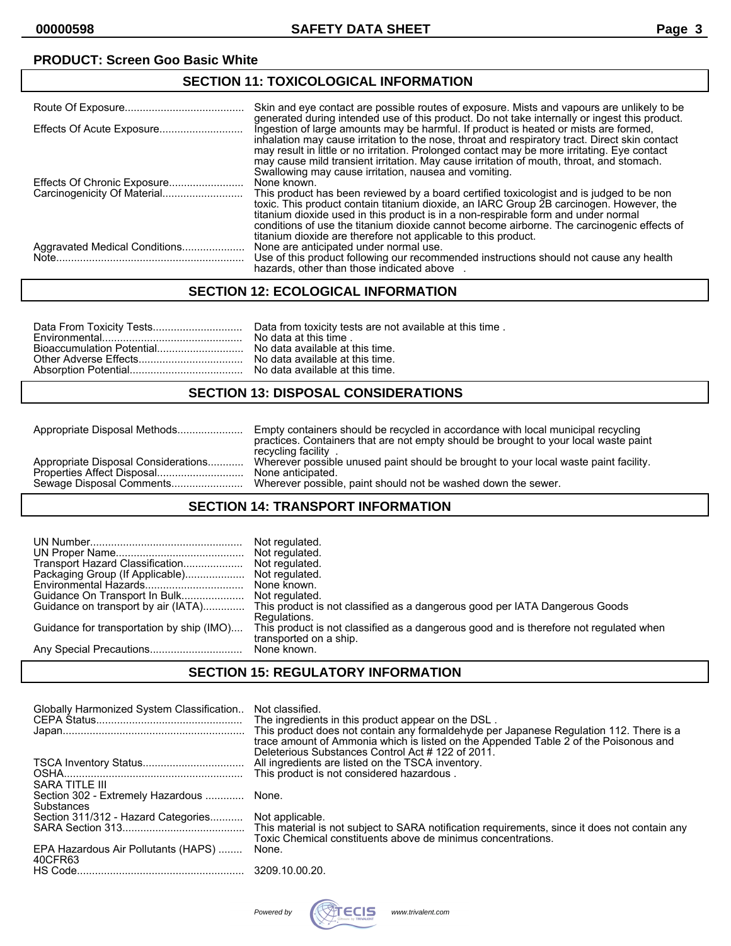# **PRODUCT: Screen Goo Basic White**

### **SECTION 11: TOXICOLOGICAL INFORMATION**

|                                                                                                                                                                                                                                                                    | Skin and eye contact are possible routes of exposure. Mists and vapours are unlikely to be<br>generated during intended use of this product. Do not take internally or ingest this product.                                                                                                                                                                                                                                                              |
|--------------------------------------------------------------------------------------------------------------------------------------------------------------------------------------------------------------------------------------------------------------------|----------------------------------------------------------------------------------------------------------------------------------------------------------------------------------------------------------------------------------------------------------------------------------------------------------------------------------------------------------------------------------------------------------------------------------------------------------|
|                                                                                                                                                                                                                                                                    | Ingestion of large amounts may be harmful. If product is heated or mists are formed,<br>inhalation may cause irritation to the nose, throat and respiratory tract. Direct skin contact<br>may result in little or no irritation. Prolonged contact may be more irritating. Eye contact<br>may cause mild transient irritation. May cause irritation of mouth, throat, and stomach.<br>Swallowing may cause irritation, nausea and vomiting.              |
|                                                                                                                                                                                                                                                                    | None known.<br>This product has been reviewed by a board certified toxicologist and is judged to be non<br>toxic. This product contain titanium dioxide, an IARC Group 2B carcinogen. However, the<br>titanium dioxide used in this product is in a non-respirable form and under normal<br>conditions of use the titanium dioxide cannot become airborne. The carcinogenic effects of<br>titanium dioxide are therefore not applicable to this product. |
| Aggravated Medical Conditions<br>$Note. 10010. 10010. 10010. 10010. 10010. 10010. 10010. 10010. 10010. 10010. 10010. 10010. 10010. 10010. 10010. 10010. 10010. 10010. 10010. 10010. 10010. 10010. 10010. 10010. 10010. 10010. 10010. 10010. 10010. 10010. 10010. $ | None are anticipated under normal use.<br>Use of this product following our recommended instructions should not cause any health<br>hazards, other than those indicated above                                                                                                                                                                                                                                                                            |

## **SECTION 12: ECOLOGICAL INFORMATION**

### **SECTION 13: DISPOSAL CONSIDERATIONS**

|                                     | Empty containers should be recycled in accordance with local municipal recycling<br>practices. Containers that are not empty should be brought to your local waste paint<br>recycling facility |
|-------------------------------------|------------------------------------------------------------------------------------------------------------------------------------------------------------------------------------------------|
| Appropriate Disposal Considerations | Wherever possible unused paint should be brought to your local waste paint facility.                                                                                                           |
|                                     | None anticipated.                                                                                                                                                                              |
| Sewage Disposal Comments            | Wherever possible, paint should not be washed down the sewer.                                                                                                                                  |

### **SECTION 14: TRANSPORT INFORMATION**

|                                           | Not regulated.                                                                         |
|-------------------------------------------|----------------------------------------------------------------------------------------|
|                                           | Not regulated.                                                                         |
| Transport Hazard Classification           | Not regulated.                                                                         |
| Packaging Group (If Applicable)           | None known.                                                                            |
|                                           | Not regulated.                                                                         |
| Guidance On Transport In Bulk             | This product is not classified as a dangerous good per IATA Dangerous Goods            |
| Guidance on transport by air (IATA)       | Regulations.                                                                           |
| Guidance for transportation by ship (IMO) | This product is not classified as a dangerous good and is therefore not regulated when |
|                                           | transported on a ship.                                                                 |

#### **SECTION 15: REGULATORY INFORMATION**

| Globally Harmonized System Classification<br>SARA TITLE III | Not classified.<br>The ingredients in this product appear on the DSL.<br>This product does not contain any formaldehyde per Japanese Regulation 112. There is a<br>trace amount of Ammonia which is listed on the Appended Table 2 of the Poisonous and<br>Deleterious Substances Control Act #122 of 2011.<br>All ingredients are listed on the TSCA inventory. |
|-------------------------------------------------------------|------------------------------------------------------------------------------------------------------------------------------------------------------------------------------------------------------------------------------------------------------------------------------------------------------------------------------------------------------------------|
| Section 302 - Extremely Hazardous  None.<br>Substances      |                                                                                                                                                                                                                                                                                                                                                                  |
| Section 311/312 - Hazard Categories                         | Not applicable.<br>Toxic Chemical constituents above de minimus concentrations.                                                                                                                                                                                                                                                                                  |
| EPA Hazardous Air Pollutants (HAPS)<br>40CFR63              | None.                                                                                                                                                                                                                                                                                                                                                            |
|                                                             | 3209.10.00.20.                                                                                                                                                                                                                                                                                                                                                   |